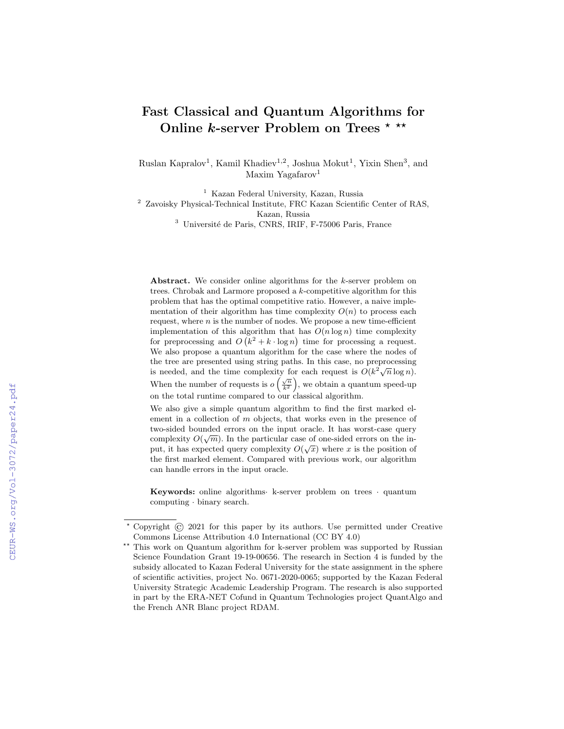# Fast Classical and Quantum Algorithms for Online  $k$ -server Problem on Trees \* \*\*

Ruslan Kapralov<sup>1</sup>, Kamil Khadiev<sup>1,2</sup>, Joshua Mokut<sup>1</sup>, Yixin Shen<sup>3</sup>, and Maxim Yagafarov<sup>1</sup>

<sup>1</sup> Kazan Federal University, Kazan, Russia

<sup>2</sup> Zavoisky Physical-Technical Institute, FRC Kazan Scientific Center of RAS, Kazan, Russia

 $^3$ Université de Paris, CNRS, IRIF, F-75006 Paris, France

Abstract. We consider online algorithms for the k-server problem on trees. Chrobak and Larmore proposed a k-competitive algorithm for this problem that has the optimal competitive ratio. However, a naive implementation of their algorithm has time complexity  $O(n)$  to process each request, where  $n$  is the number of nodes. We propose a new time-efficient implementation of this algorithm that has  $O(n \log n)$  time complexity for preprocessing and  $O(k^2 + k \cdot \log n)$  time for processing a request. We also propose a quantum algorithm for the case where the nodes of the tree are presented using string paths. In this case, no preprocessing the tree are presented using string paths. In this case, no preprocessing<br>is needed, and the time complexity for each request is  $O(k^2\sqrt{n}\log n)$ . When the number of requests is  $o\left(\frac{\sqrt{n}}{k^2}\right)$ , we obtain a quantum speed-up on the total runtime compared to our classical algorithm.

We also give a simple quantum algorithm to find the first marked element in a collection of m objects, that works even in the presence of two-sided bounded errors on the input oracle. It has worst-case query complexity  $O(\sqrt{m})$ . In the particular case of one-sided errors on the input, it has expected query complexity  $O(\sqrt{x})$  where x is the position of the first marked element. Compared with previous work, our algorithm can handle errors in the input oracle.

Keywords: online algorithms· k-server problem on trees · quantum computing · binary search.

<sup>?</sup> Copyright © 2021 for this paper by its authors. Use permitted under Creative Commons License Attribution 4.0 International (CC BY 4.0)

<sup>\*\*</sup> This work on Quantum algorithm for k-server problem was supported by Russian Science Foundation Grant 19-19-00656. The research in Section 4 is funded by the subsidy allocated to Kazan Federal University for the state assignment in the sphere of scientific activities, project No. 0671-2020-0065; supported by the Kazan Federal University Strategic Academic Leadership Program. The research is also supported in part by the ERA-NET Cofund in Quantum Technologies project QuantAlgo and the French ANR Blanc project RDAM.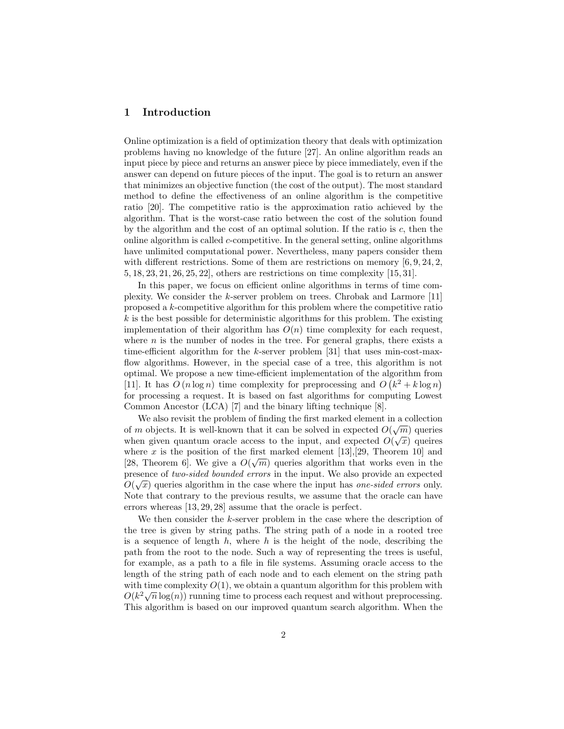# 1 Introduction

Online optimization is a field of optimization theory that deals with optimization problems having no knowledge of the future [27]. An online algorithm reads an input piece by piece and returns an answer piece by piece immediately, even if the answer can depend on future pieces of the input. The goal is to return an answer that minimizes an objective function (the cost of the output). The most standard method to define the effectiveness of an online algorithm is the competitive ratio [20]. The competitive ratio is the approximation ratio achieved by the algorithm. That is the worst-case ratio between the cost of the solution found by the algorithm and the cost of an optimal solution. If the ratio is  $c$ , then the online algorithm is called  $c$ -competitive. In the general setting, online algorithms have unlimited computational power. Nevertheless, many papers consider them with different restrictions. Some of them are restrictions on memory  $[6, 9, 24, 2, 4]$ 5, 18, 23, 21, 26, 25, 22], others are restrictions on time complexity [15, 31].

In this paper, we focus on efficient online algorithms in terms of time complexity. We consider the k-server problem on trees. Chrobak and Larmore [11] proposed a k-competitive algorithm for this problem where the competitive ratio  $k$  is the best possible for deterministic algorithms for this problem. The existing implementation of their algorithm has  $O(n)$  time complexity for each request, where  $n$  is the number of nodes in the tree. For general graphs, there exists a time-efficient algorithm for the k-server problem  $|31|$  that uses min-cost-maxflow algorithms. However, in the special case of a tree, this algorithm is not optimal. We propose a new time-efficient implementation of the algorithm from [11]. It has  $O(n \log n)$  time complexity for preprocessing and  $O(k^2 + k \log n)$ for processing a request. It is based on fast algorithms for computing Lowest Common Ancestor (LCA) [7] and the binary lifting technique [8].

We also revisit the problem of finding the first marked element in a collection of m objects. It is well-known that it can be solved in expected  $O(\sqrt{m})$  queries when given quantum oracle access to the input, and expected  $O(\sqrt{x})$  queires where x is the position of the first marked element [13],[29, Theorem 10] and [28, Theorem 6]. We give a  $O(\sqrt{m})$  queries algorithm that works even in the presence of *two-sided bounded errors* in the input. We also provide an expected  $\alpha$ .  $O(\sqrt{x})$  queries algorithm in the case where the input has *one-sided errors* only. Note that contrary to the previous results, we assume that the oracle can have errors whereas [13, 29, 28] assume that the oracle is perfect.

We then consider the  $k$ -server problem in the case where the description of the tree is given by string paths. The string path of a node in a rooted tree is a sequence of length  $h$ , where  $h$  is the height of the node, describing the path from the root to the node. Such a way of representing the trees is useful, for example, as a path to a file in file systems. Assuming oracle access to the length of the string path of each node and to each element on the string path with time complexity  $O(1)$ , we obtain a quantum algorithm for this problem with with time complexity  $O(1)$ , we obtain a quantum algorithm for this problem with  $O(k^2\sqrt{n}\log(n))$  running time to process each request and without preprocessing. This algorithm is based on our improved quantum search algorithm. When the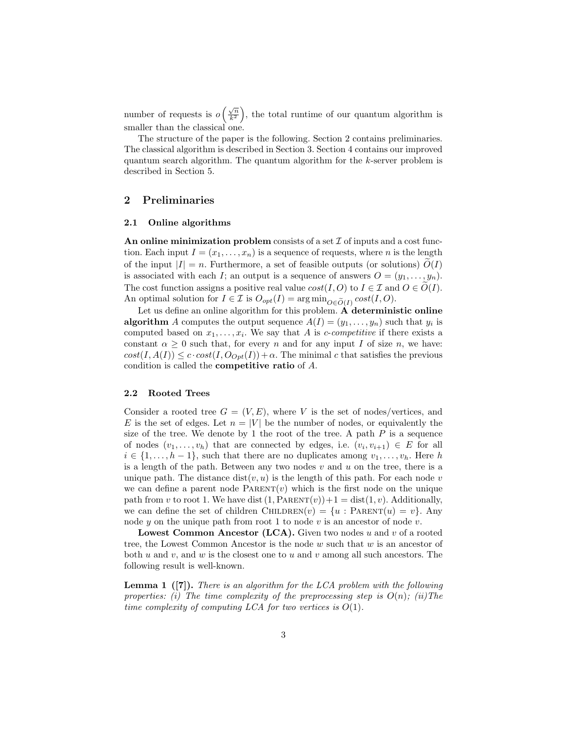number of requests is  $o\left(\frac{\sqrt{n}}{k^2}\right)$ , the total runtime of our quantum algorithm is smaller than the classical one.

The structure of the paper is the following. Section 2 contains preliminaries. The classical algorithm is described in Section 3. Section 4 contains our improved quantum search algorithm. The quantum algorithm for the k-server problem is described in Section 5.

# 2 Preliminaries

### 2.1 Online algorithms

An online minimization problem consists of a set  $\mathcal I$  of inputs and a cost function. Each input  $I = (x_1, \ldots, x_n)$  is a sequence of requests, where *n* is the length of the input  $|I| = n$ . Furthermore, a set of feasible outputs (or solutions)  $O(I)$ is associated with each I; an output is a sequence of answers  $O = (y_1, \ldots, y_n)$ . The cost function assigns a positive real value  $cost(I, O)$  to  $I \in \mathcal{I}$  and  $O \in O(I)$ . An optimal solution for  $I \in \mathcal{I}$  is  $O_{opt}(I) = \arg \min_{O \in \widetilde{O}(I)} cost(I, O)$ .

Let us define an online algorithm for this problem. A deterministic online **algorithm** A computes the output sequence  $A(I) = (y_1, \ldots, y_n)$  such that  $y_i$  is computed based on  $x_1, \ldots, x_i$ . We say that A is *c*-competitive if there exists a constant  $\alpha \geq 0$  such that, for every n and for any input I of size n, we have:  $cost(I, A(I)) \leq c \cdot cost(I, O_{Opt}(I)) + \alpha$ . The minimal c that satisfies the previous condition is called the competitive ratio of A.

#### 2.2 Rooted Trees

Consider a rooted tree  $G = (V, E)$ , where V is the set of nodes/vertices, and E is the set of edges. Let  $n = |V|$  be the number of nodes, or equivalently the size of the tree. We denote by 1 the root of the tree. A path  $P$  is a sequence of nodes  $(v_1, \ldots, v_h)$  that are connected by edges, i.e.  $(v_i, v_{i+1}) \in E$  for all  $i \in \{1, \ldots, h-1\}$ , such that there are no duplicates among  $v_1, \ldots, v_h$ . Here h is a length of the path. Between any two nodes  $v$  and  $u$  on the tree, there is a unique path. The distance  $dist(v, u)$  is the length of this path. For each node v we can define a parent node  $\text{PARENT}(v)$  which is the first node on the unique path from v to root 1. We have dist  $(1, PARENT(v))+1 = dist(1, v)$ . Additionally, we can define the set of children CHILDREN(v) =  $\{u : PARENT(u) = v\}$ . Any node y on the unique path from root 1 to node v is an ancestor of node v.

**Lowest Common Ancestor (LCA).** Given two nodes  $u$  and  $v$  of a rooted tree, the Lowest Common Ancestor is the node  $w$  such that  $w$  is an ancestor of both u and v, and w is the closest one to u and v among all such ancestors. The following result is well-known.

**Lemma 1** ([7]). There is an algorithm for the LCA problem with the following properties: (i) The time complexity of the preprocessing step is  $O(n)$ ; (ii) The time complexity of computing LCA for two vertices is  $O(1)$ .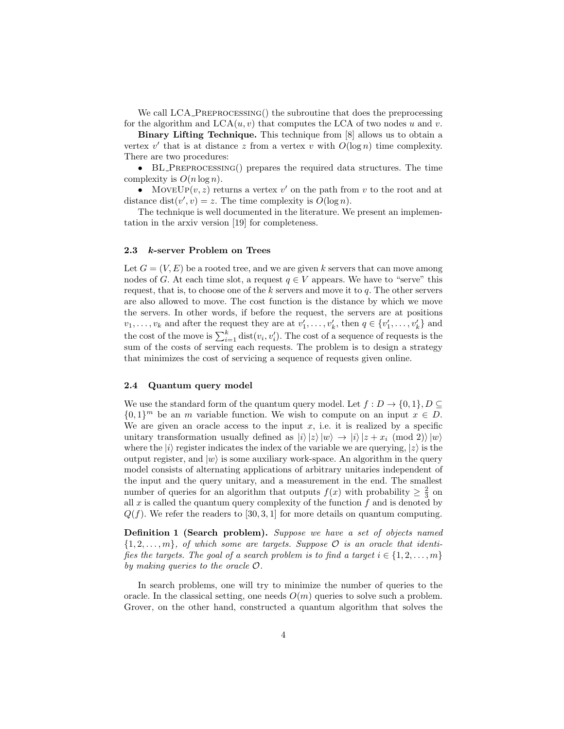We call LCA\_PREPROCESSING() the subroutine that does the preprocessing for the algorithm and  $LCA(u, v)$  that computes the LCA of two nodes u and v.

Binary Lifting Technique. This technique from [8] allows us to obtain a vertex  $v'$  that is at distance z from a vertex v with  $O(\log n)$  time complexity. There are two procedures:

• BL\_PREPROCESSING() prepares the required data structures. The time complexity is  $O(n \log n)$ .

• MoveUp $(v, z)$  returns a vertex v' on the path from v to the root and at distance dist $(v', v) = z$ . The time complexity is  $O(\log n)$ .

The technique is well documented in the literature. We present an implementation in the arxiv version [19] for completeness.

### 2.3 k-server Problem on Trees

Let  $G = (V, E)$  be a rooted tree, and we are given k servers that can move among nodes of G. At each time slot, a request  $q \in V$  appears. We have to "serve" this request, that is, to choose one of the  $k$  servers and move it to  $q$ . The other servers are also allowed to move. The cost function is the distance by which we move the servers. In other words, if before the request, the servers are at positions  $v_1, \ldots, v_k$  and after the request they are at  $v'_1, \ldots, v'_k$ , then  $q \in \{v'_1, \ldots, v'_k\}$  and the cost of the move is  $\sum_{i=1}^{k} dist(v_i, v'_i)$ . The cost of a sequence of requests is the sum of the costs of serving each requests. The problem is to design a strategy that minimizes the cost of servicing a sequence of requests given online.

#### 2.4 Quantum query model

We use the standard form of the quantum query model. Let  $f: D \to \{0,1\}, D \subseteq$  $\{0,1\}^m$  be an m variable function. We wish to compute on an input  $x \in D$ . We are given an oracle access to the input  $x$ , i.e. it is realized by a specific unitary transformation usually defined as  $|i\rangle |z\rangle |w\rangle \rightarrow |i\rangle |z + x_i \pmod{2}$ where the  $|i\rangle$  register indicates the index of the variable we are querying,  $|z\rangle$  is the output register, and  $|w\rangle$  is some auxiliary work-space. An algorithm in the query model consists of alternating applications of arbitrary unitaries independent of the input and the query unitary, and a measurement in the end. The smallest number of queries for an algorithm that outputs  $f(x)$  with probability  $\geq \frac{2}{3}$  on all  $x$  is called the quantum query complexity of the function  $f$  and is denoted by  $Q(f)$ . We refer the readers to [30, 3, 1] for more details on quantum computing.

Definition 1 (Search problem). Suppose we have a set of objects named  ${1, 2, \ldots, m}$ , of which some are targets. Suppose  $\mathcal O$  is an oracle that identifies the targets. The goal of a search problem is to find a target  $i \in \{1, 2, \ldots, m\}$ by making queries to the oracle O.

In search problems, one will try to minimize the number of queries to the oracle. In the classical setting, one needs  $O(m)$  queries to solve such a problem. Grover, on the other hand, constructed a quantum algorithm that solves the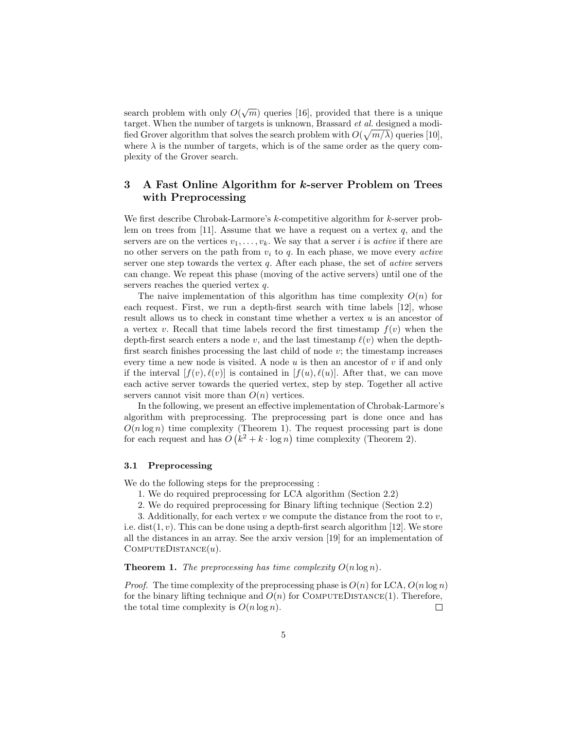search problem with only  $O(\sqrt{m})$  queries [16], provided that there is a unique target. When the number of targets is unknown, Brassard et al. designed a modified Grover algorithm that solves the search problem with  $O(\sqrt{m/\lambda})$  queries [10], where  $\lambda$  is the number of targets, which is of the same order as the query complexity of the Grover search.

# 3 A Fast Online Algorithm for k-server Problem on Trees with Preprocessing

We first describe Chrobak-Larmore's k-competitive algorithm for k-server problem on trees from [11]. Assume that we have a request on a vertex  $q$ , and the servers are on the vertices  $v_1, \ldots, v_k$ . We say that a server i is active if there are no other servers on the path from  $v_i$  to q. In each phase, we move every *active* server one step towards the vertex  $q$ . After each phase, the set of *active* servers can change. We repeat this phase (moving of the active servers) until one of the servers reaches the queried vertex q.

The naive implementation of this algorithm has time complexity  $O(n)$  for each request. First, we run a depth-first search with time labels [12], whose result allows us to check in constant time whether a vertex  $u$  is an ancestor of a vertex v. Recall that time labels record the first timestamp  $f(v)$  when the depth-first search enters a node v, and the last timestamp  $\ell(v)$  when the depthfirst search finishes processing the last child of node  $v$ ; the timestamp increases every time a new node is visited. A node  $u$  is then an ancestor of  $v$  if and only if the interval  $[f(v), \ell(v)]$  is contained in  $[f(u), \ell(u)]$ . After that, we can move each active server towards the queried vertex, step by step. Together all active servers cannot visit more than  $O(n)$  vertices.

In the following, we present an effective implementation of Chrobak-Larmore's algorithm with preprocessing. The preprocessing part is done once and has  $O(n \log n)$  time complexity (Theorem 1). The request processing part is done for each request and has  $O(k^2 + k \cdot \log n)$  time complexity (Theorem 2).

#### 3.1 Preprocessing

We do the following steps for the preprocessing :

- 1. We do required preprocessing for LCA algorithm (Section 2.2)
- 2. We do required preprocessing for Binary lifting technique (Section 2.2)

3. Additionally, for each vertex  $v$  we compute the distance from the root to  $v$ , i.e. dist(1,  $v$ ). This can be done using a depth-first search algorithm [12]. We store all the distances in an array. See the arxiv version [19] for an implementation of  $COMPUTEDISTANCE(u)$ .

**Theorem 1.** The preprocessing has time complexity  $O(n \log n)$ .

*Proof.* The time complexity of the preprocessing phase is  $O(n)$  for LCA,  $O(n \log n)$ for the binary lifting technique and  $O(n)$  for COMPUTEDISTANCE(1). Therefore, the total time complexity is  $O(n \log n)$ .  $\Box$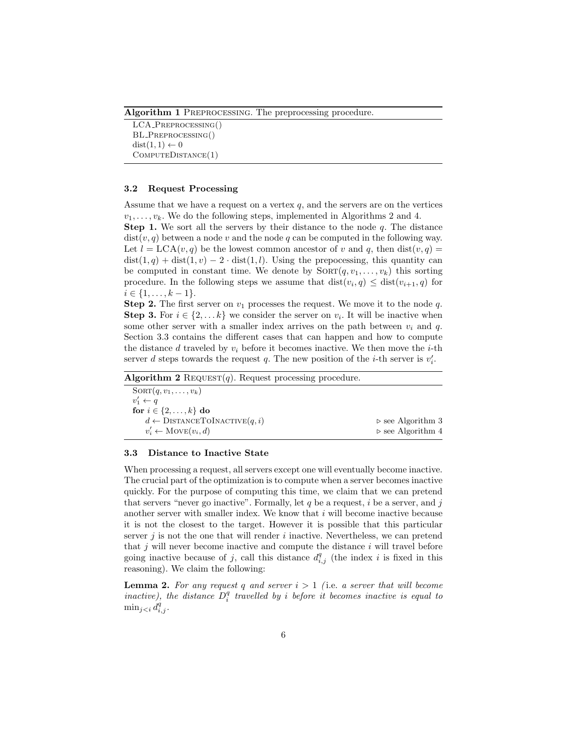Algorithm 1 PREPROCESSING. The preprocessing procedure.

LCA Preprocessing() BL Preprocessing()  $dist(1, 1) \leftarrow 0$ ComputeDistance(1)

#### 3.2 Request Processing

Assume that we have a request on a vertex  $q$ , and the servers are on the vertices  $v_1, \ldots, v_k$ . We do the following steps, implemented in Algorithms 2 and 4.

**Step 1.** We sort all the servers by their distance to the node  $q$ . The distance  $dist(v, q)$  between a node v and the node q can be computed in the following way. Let  $l = LCA(v, q)$  be the lowest common ancestor of v and q, then  $dist(v, q)$  $dist(1,q) + dist(1,v) - 2 \cdot dist(1,l)$ . Using the prepocessing, this quantity can be computed in constant time. We denote by  $SORT(q, v_1, \ldots, v_k)$  this sorting procedure. In the following steps we assume that  $dist(v_i, q) \leq dist(v_{i+1}, q)$  for  $i \in \{1, \ldots, k-1\}.$ 

**Step 2.** The first server on  $v_1$  processes the request. We move it to the node  $q$ . **Step 3.** For  $i \in \{2, \ldots k\}$  we consider the server on  $v_i$ . It will be inactive when some other server with a smaller index arrives on the path between  $v_i$  and q. Section 3.3 contains the different cases that can happen and how to compute the distance d traveled by  $v_i$  before it becomes inactive. We then move the *i*-th server d steps towards the request q. The new position of the *i*-th server is  $v'_i$ .

| $SORT(q, v_1, \ldots, v_k)$                    |                                  |
|------------------------------------------------|----------------------------------|
| $v'_1 \leftarrow q$                            |                                  |
| for $i \in \{2,\ldots,k\}$ do                  |                                  |
| $d \leftarrow \text{DISTANCETOINACTIVE}(q, i)$ | $\triangleright$ see Algorithm 3 |
| $v'_i \leftarrow \text{Move}(v_i, d)$          | $\triangleright$ see Algorithm 4 |
|                                                |                                  |

#### 3.3 Distance to Inactive State

When processing a request, all servers except one will eventually become inactive. The crucial part of the optimization is to compute when a server becomes inactive quickly. For the purpose of computing this time, we claim that we can pretend that servers "never go inactive". Formally, let q be a request, i be a server, and j another server with smaller index. We know that  $i$  will become inactive because it is not the closest to the target. However it is possible that this particular server  $j$  is not the one that will render  $i$  inactive. Nevertheless, we can pretend that  $j$  will never become inactive and compute the distance  $i$  will travel before going inactive because of j, call this distance  $d_{i,j}^q$  (the index i is fixed in this reasoning). We claim the following:

**Lemma 2.** For any request q and server  $i > 1$  (i.e. a server that will become inactive), the distance  $D_i^q$  travelled by i before it becomes inactive is equal to  $\min_{j < i} d_{i,j}^q$ .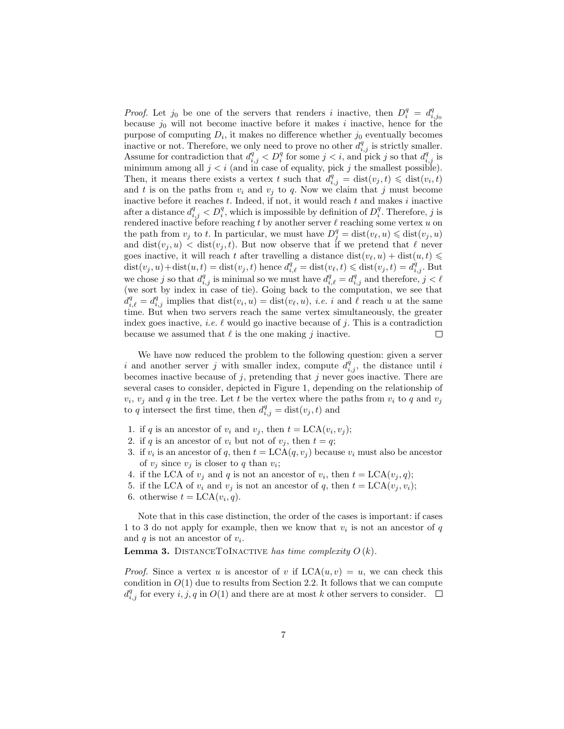*Proof.* Let  $j_0$  be one of the servers that renders i inactive, then  $D_i^q = d_{i,j_0}^q$ because  $j_0$  will not become inactive before it makes i inactive, hence for the purpose of computing  $D_i$ , it makes no difference whether  $j_0$  eventually becomes inactive or not. Therefore, we only need to prove no other  $d_{i,j}^q$  is strictly smaller. Assume for contradiction that  $d_{i,j}^q < D_i^q$  for some  $j < i$ , and pick j so that  $d_{i,j}^q$  is minimum among all  $j < i$  (and in case of equality, pick j the smallest possible). Then, it means there exists a vertex t such that  $d_{i,j}^q = \text{dist}(v_j, t) \leq \text{dist}(v_i, t)$ and t is on the paths from  $v_i$  and  $v_j$  to q. Now we claim that j must become inactive before it reaches  $t$ . Indeed, if not, it would reach  $t$  and makes  $i$  inactive after a distance  $d_{i,j}^q < D_i^q$ , which is impossible by definition of  $D_i^q$ . Therefore, j is rendered inactive before reaching t by another server  $\ell$  reaching some vertex u on the path from  $v_j$  to t. In particular, we must have  $D_j^q = \text{dist}(v_\ell, u) \leq \text{dist}(v_j, u)$ and  $dist(v_j, u) < dist(v_j, t)$ . But now observe that if we pretend that  $\ell$  never goes inactive, it will reach t after travelling a distance  $dist(v_{\ell}, u) + dist(u, t) \leq$  $dist(v_j, u) + dist(u, t) = dist(v_j, t)$  hence  $d_{i, \ell}^q = dist(v_{\ell}, t) \leq dist(v_j, t) = d_{i, j}^q$ . But we chose j so that  $d_{i,j}^q$  is minimal so we must have  $d_{i,\ell}^q = d_{i,j}^q$  and therefore,  $j < \ell$ (we sort by index in case of tie). Going back to the computation, we see that  $d_{i,\ell}^q = d_{i,j}^q$  implies that  $dist(v_i, u) = dist(v_\ell, u), i.e. i$  and  $\ell$  reach u at the same time. But when two servers reach the same vertex simultaneously, the greater index goes inactive, *i.e.*  $\ell$  would go inactive because of j. This is a contradiction because we assumed that  $\ell$  is the one making j inactive.  $\Box$ 

We have now reduced the problem to the following question: given a server i and another server j with smaller index, compute  $d_{i,j}^q$ , the distance until i becomes inactive because of  $j$ , pretending that  $j$  never goes inactive. There are several cases to consider, depicted in Figure 1, depending on the relationship of  $v_i$ ,  $v_j$  and q in the tree. Let t be the vertex where the paths from  $v_i$  to q and  $v_j$ to q intersect the first time, then  $d_{i,j}^q = \text{dist}(v_j, t)$  and

- 1. if q is an ancestor of  $v_i$  and  $v_j$ , then  $t = LCA(v_i, v_j);$
- 2. if q is an ancestor of  $v_i$  but not of  $v_j$ , then  $t = q$ ;
- 3. if  $v_i$  is an ancestor of q, then  $t = LCA(q, v_j)$  because  $v_i$  must also be ancestor of  $v_j$  since  $v_j$  is closer to q than  $v_i$ ;
- 4. if the LCA of  $v_j$  and q is not an ancestor of  $v_i$ , then  $t = LCA(v_j, q);$
- 5. if the LCA of  $v_i$  and  $v_j$  is not an ancestor of q, then  $t = LCA(v_j, v_i);$
- 6. otherwise  $t = LCA(v_i, q)$ .

Note that in this case distinction, the order of the cases is important: if cases 1 to 3 do not apply for example, then we know that  $v_i$  is not an ancestor of  $q$ and  $q$  is not an ancestor of  $v_i$ .

**Lemma 3.** DISTANCETOINACTIVE has time complexity  $O(k)$ .

*Proof.* Since a vertex u is ancestor of v if  $LCA(u, v) = u$ , we can check this condition in  $O(1)$  due to results from Section 2.2. It follows that we can compute  $d_{i,j}^q$  for every  $i,j,q$  in  $O(1)$  and there are at most k other servers to consider.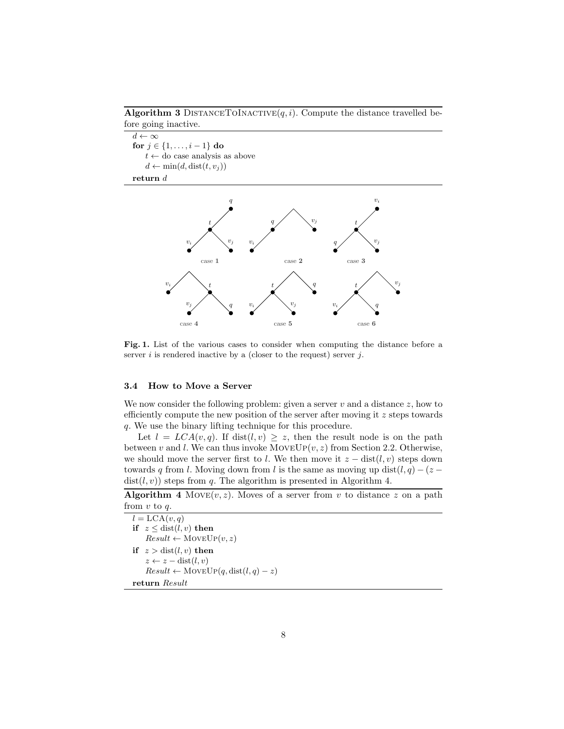Algorithm 3 DISTANCETOINACTIVE $(q, i)$ . Compute the distance travelled before going inactive.

 $v_i$ 

t

 $d \leftarrow \infty$ for  $j \in \{1, ..., i-1\}$  do  $t \leftarrow$  do case analysis as above  $d \leftarrow \min(d, \text{dist}(t, v_j))$ return  $\boldsymbol{d}$  $\overline{a}$ t q  $v_j$ 



Fig. 1. List of the various cases to consider when computing the distance before a server  $i$  is rendered inactive by a (closer to the request) server  $j$ .

# 3.4 How to Move a Server

We now consider the following problem: given a server  $v$  and a distance  $z$ , how to efficiently compute the new position of the server after moving it  $z$  steps towards q. We use the binary lifting technique for this procedure.

Let  $l = LCA(v, q)$ . If dist(l, v) > z, then the result node is on the path between v and l. We can thus invoke  $MoveUp(v, z)$  from Section 2.2. Otherwise, we should move the server first to l. We then move it  $z - \text{dist}(l, v)$  steps down towards q from l. Moving down from l is the same as moving up dist $(l, q) - (z$  $dist(l, v)$  steps from q. The algorithm is presented in Algorithm 4.

**Algorithm 4** Move $(v, z)$ . Moves of a server from v to distance z on a path from  $v$  to  $q$ .

 $l = LCA(v,q)$ if  $z \leq \text{dist}(l, v)$  then  $Result \leftarrow MoveUp(v, z)$ if  $z > dist(l, v)$  then  $z \leftarrow z - dist(l, v)$  $Result \leftarrow MoveUp(q, dist(l, q) - z)$ return Result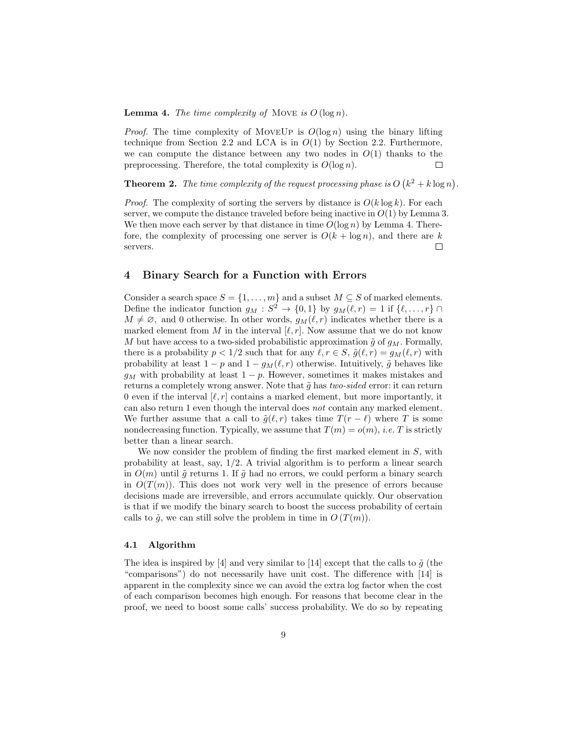**Lemma 4.** The time complexity of MOVE is  $O(\log n)$ .

*Proof.* The time complexity of MOVEUP is  $O(\log n)$  using the binary lifting technique from Section 2.2 and LCA is in  $O(1)$  by Section 2.2. Furthermore, we can compute the distance between any two nodes in  $O(1)$  thanks to the preprocessing. Therefore, the total complexity is  $O(\log n)$ .  $\Box$ 

**Theorem 2.** The time complexity of the request processing phase is  $O(k^2 + k \log n)$ .

*Proof.* The complexity of sorting the servers by distance is  $O(k \log k)$ . For each server, we compute the distance traveled before being inactive in  $O(1)$  by Lemma 3. We then move each server by that distance in time  $O(\log n)$  by Lemma 4. Therefore, the complexity of processing one server is  $O(k + \log n)$ , and there are k servers.  $\Box$ 

# 4 Binary Search for a Function with Errors

Consider a search space  $S = \{1, \ldots, m\}$  and a subset  $M \subseteq S$  of marked elements. Define the indicator function  $g_M : S^2 \to \{0,1\}$  by  $g_M(\ell, r) = 1$  if  $\{\ell, \ldots, r\} \cap$  $M \neq \emptyset$ , and 0 otherwise. In other words,  $g_M(\ell, r)$  indicates whether there is a marked element from M in the interval  $[\ell, r]$ . Now assume that we do not know M but have access to a two-sided probabilistic approximation  $\tilde{q}$  of  $q_M$ . Formally, there is a probability  $p < 1/2$  such that for any  $\ell, r \in S$ ,  $\tilde{g}(\ell, r) = g_M(\ell, r)$  with probability at least  $1 - p$  and  $1 - g_M(\ell, r)$  otherwise. Intuitively,  $\tilde{g}$  behaves like  $g_M$  with probability at least  $1 - p$ . However, sometimes it makes mistakes and returns a completely wrong answer. Note that  $\tilde{q}$  has two-sided error: it can return 0 even if the interval  $[\ell, r]$  contains a marked element, but more importantly, it can also return 1 even though the interval does not contain any marked element. We further assume that a call to  $\tilde{g}(\ell, r)$  takes time  $T(r - \ell)$  where T is some nondecreasing function. Typically, we assume that  $T(m) = o(m)$ , *i.e.* T is strictly better than a linear search.

We now consider the problem of finding the first marked element in  $S$ , with probability at least, say, 1/2. A trivial algorithm is to perform a linear search in  $O(m)$  until  $\tilde{g}$  returns 1. If  $\tilde{g}$  had no errors, we could perform a binary search in  $O(T(m))$ . This does not work very well in the presence of errors because decisions made are irreversible, and errors accumulate quickly. Our observation is that if we modify the binary search to boost the success probability of certain calls to  $\tilde{g}$ , we can still solve the problem in time in  $O(T(m))$ .

### 4.1 Algorithm

The idea is inspired by [4] and very similar to [14] except that the calls to  $\tilde{q}$  (the "comparisons") do not necessarily have unit cost. The difference with [14] is apparent in the complexity since we can avoid the extra log factor when the cost of each comparison becomes high enough. For reasons that become clear in the proof, we need to boost some calls' success probability. We do so by repeating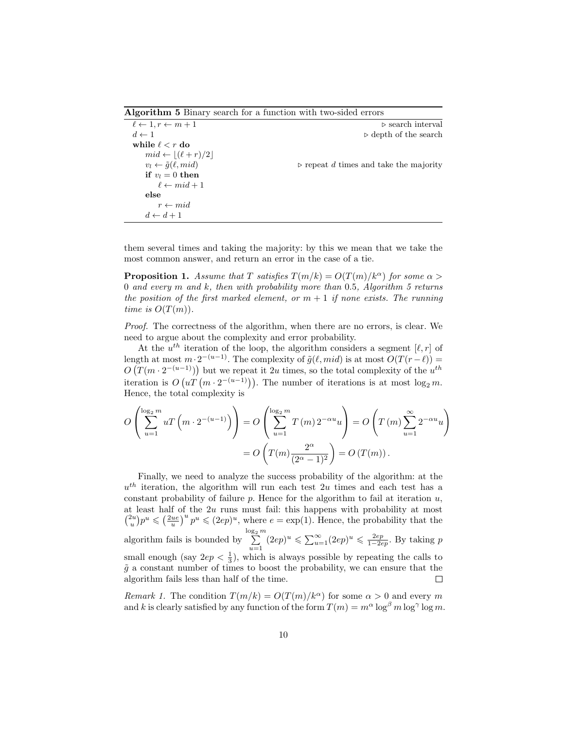Algorithm 5 Binary search for a function with two-sided errors

| $\ell \leftarrow 1, r \leftarrow m + 1$ | $\triangleright$ search interval                      |
|-----------------------------------------|-------------------------------------------------------|
| $d \leftarrow 1$                        | $\triangleright$ depth of the search                  |
| while $\ell < r$ do                     |                                                       |
| $mid \leftarrow  (\ell+r)/2 $           |                                                       |
| $v_l \leftarrow \tilde{g}(\ell, mid)$   | $\triangleright$ repeat d times and take the majority |
| if $v_l = 0$ then                       |                                                       |
| $\ell \leftarrow mid+1$                 |                                                       |
| else                                    |                                                       |
| $r \leftarrow mid$                      |                                                       |
| $d \leftarrow d+1$                      |                                                       |

them several times and taking the majority: by this we mean that we take the most common answer, and return an error in the case of a tie.

**Proposition 1.** Assume that T satisfies  $T(m/k) = O(T(m)/k^{\alpha})$  for some  $\alpha >$ 0 and every m and k, then with probability more than 0.5, Algorithm 5 returns the position of the first marked element, or  $m + 1$  if none exists. The running time is  $O(T(m))$ .

Proof. The correctness of the algorithm, when there are no errors, is clear. We need to argue about the complexity and error probability.

At the  $u^{th}$  iteration of the loop, the algorithm considers a segment  $[\ell, r]$  of length at most  $m \cdot 2^{-(u-1)}$ . The complexity of  $\tilde{g}(\ell, mid)$  is at most  $O(T(r-\ell)) =$  $O(T(m \cdot 2^{-(u-1)}))$  but we repeat it 2u times, so the total complexity of the  $u^{th}$ iteration is  $O\left( uT\left( m\cdot2^{-\left( u-1\right) }\right) \right)$ . The number of iterations is at most  $\log_{2}m$ . Hence, the total complexity is

$$
O\left(\sum_{u=1}^{\log_2 m} uT\left(m \cdot 2^{-(u-1)}\right)\right) = O\left(\sum_{u=1}^{\log_2 m} T\left(m\right) 2^{-\alpha u} u\right) = O\left(T\left(m\right) \sum_{u=1}^{\infty} 2^{-\alpha u} u\right)
$$

$$
= O\left(T(m) \frac{2^{\alpha}}{(2^{\alpha}-1)^2}\right) = O\left(T(m)\right).
$$

Finally, we need to analyze the success probability of the algorithm: at the  $u<sup>th</sup>$  iteration, the algorithm will run each test 2u times and each test has a constant probability of failure  $p$ . Hence for the algorithm to fail at iteration  $u$ , at least half of the 2u runs must fail: this happens with probability at most  $\binom{2u}{u}p^u \leqslant \left(\frac{2ue}{u}\right)^u p^u \leqslant (2ep)^u$ , where  $e = \exp(1)$ . Hence, the probability that the  $\sum_{i=1}^{\log_2 m}$  $\sum_{u=1}^{\infty} (2ep)^u \leq \sum_{u=1}^{\infty} (2ep)^u \leq \frac{2ep}{1-2ep}$ . By taking p algorithm fails is bounded by small enough (say  $2ep < \frac{1}{3}$ ), which is always possible by repeating the calls to  $\tilde{g}$  a constant number of times to boost the probability, we can ensure that the algorithm fails less than half of the time.  $\Box$ 

Remark 1. The condition  $T(m/k) = O(T(m)/k^{\alpha})$  for some  $\alpha > 0$  and every m and k is clearly satisfied by any function of the form  $T(m) = m^{\alpha} \log^{\beta} m \log^{\gamma} \log m$ .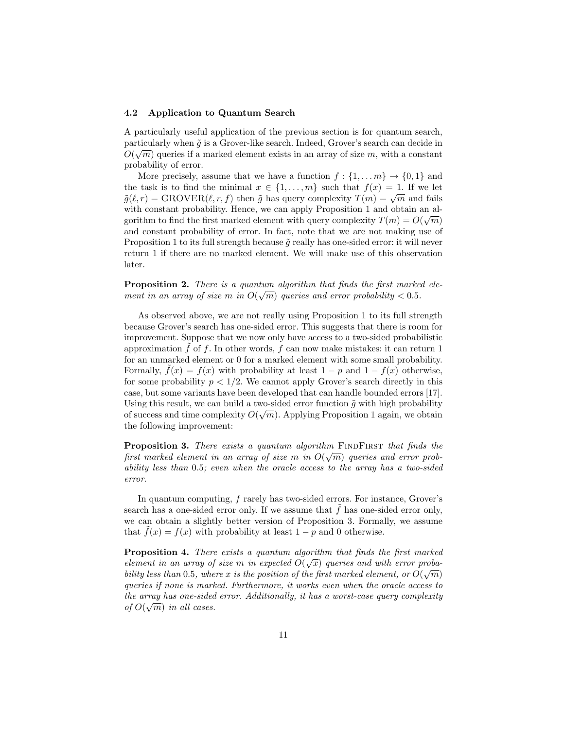#### 4.2 Application to Quantum Search

A particularly useful application of the previous section is for quantum search, particularly when  $\tilde{g}$  is a Grover-like search. Indeed, Grover's search can decide in  $O(\sqrt{m})$  queries if a marked element exists in an array of size m, with a constant probability of error.

More precisely, assume that we have a function  $f: \{1, \ldots m\} \to \{0, 1\}$  and the task is to find the minimal  $x \in \{1, ..., m\}$  such that  $f(x) = 1$ . If we let  $\tilde{g}(\ell, r) = \text{GROVER}(\ell, r, f)$  then  $\tilde{g}$  has query complexity  $T(m) = \sqrt{m}$  and fails with constant probability. Hence, we can apply Proposition 1 and obtain an algorithm to find the first marked element with query complexity  $T(m) = O(\sqrt{m})$ and constant probability of error. In fact, note that we are not making use of Proposition 1 to its full strength because  $\tilde{q}$  really has one-sided error: it will never return 1 if there are no marked element. We will make use of this observation later.

**Proposition 2.** There is a quantum algorithm that finds the first marked element in an array of size m in  $O(\sqrt{m})$  queries and error probability  $< 0.5$ .

As observed above, we are not really using Proposition 1 to its full strength because Grover's search has one-sided error. This suggests that there is room for improvement. Suppose that we now only have access to a two-sided probabilistic approximation  $\hat{f}$  of f. In other words, f can now make mistakes: it can return 1 for an unmarked element or 0 for a marked element with some small probability. Formally,  $f(x) = f(x)$  with probability at least  $1 - p$  and  $1 - f(x)$  otherwise, for some probability  $p < 1/2$ . We cannot apply Grover's search directly in this case, but some variants have been developed that can handle bounded errors [17]. Using this result, we can build a two-sided error function  $\tilde{g}$  with high probability of success and time complexity  $O(\sqrt{m})$ . Applying Proposition 1 again, we obtain the following improvement:

**Proposition 3.** There exists a quantum algorithm FINDFIRST that finds the first marked element in an array of size m in  $O(\sqrt{m})$  queries and error probability less than 0.5; even when the oracle access to the array has a two-sided error.

In quantum computing, f rarely has two-sided errors. For instance, Grover's search has a one-sided error only. If we assume that  $f$  has one-sided error only, we can obtain a slightly better version of Proposition 3. Formally, we assume that  $f(x) = f(x)$  with probability at least  $1 - p$  and 0 otherwise.

**Proposition 4.** There exists a quantum algorithm that finds the first marked element in an array of size m in expected  $O(\sqrt{x})$  queries and with error probability less than 0.5, where x is the position of the first marked element, or  $O(\sqrt{m})$ queries if none is marked. Furthermore, it works even when the oracle access to the array has one-sided error. Additionally, it has a worst-case query complexity of  $O(\sqrt{m})$  in all cases.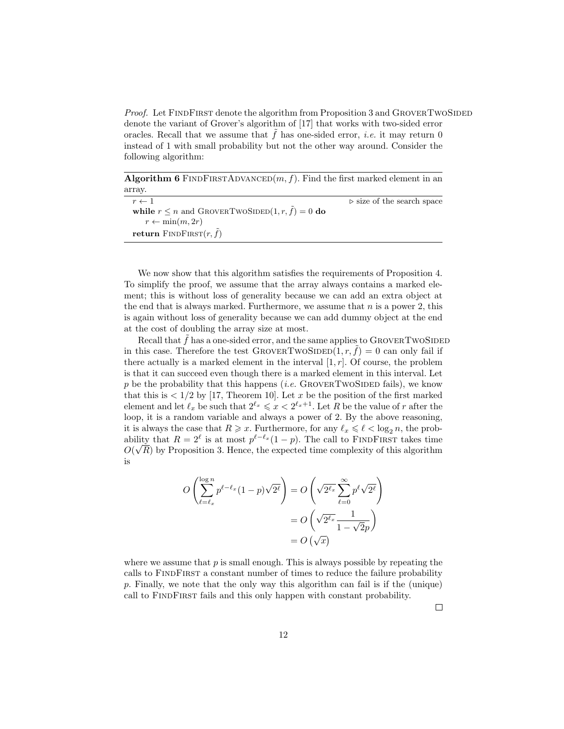Proof. Let FINDFIRST denote the algorithm from Proposition 3 and GROVERTWOSIDED denote the variant of Grover's algorithm of [17] that works with two-sided error oracles. Recall that we assume that  $f$  has one-sided error, *i.e.* it may return  $0$ instead of 1 with small probability but not the other way around. Consider the following algorithm:

Algorithm 6 FINDFIRSTADVANCED $(m, f)$ . Find the first marked element in an array.

| $r \leftarrow 1$                                    | $\triangleright$ size of the search space |
|-----------------------------------------------------|-------------------------------------------|
| while $r \leq n$ and GROVERTWOSIDED(1, r, f) = 0 do |                                           |
| $r \leftarrow \min(m, 2r)$                          |                                           |
| return FINDFIRST $(r, \tilde{f})$                   |                                           |

We now show that this algorithm satisfies the requirements of Proposition 4. To simplify the proof, we assume that the array always contains a marked element; this is without loss of generality because we can add an extra object at the end that is always marked. Furthermore, we assume that  $n$  is a power 2, this is again without loss of generality because we can add dummy object at the end at the cost of doubling the array size at most.

Recall that  $f$  has a one-sided error, and the same applies to  $GROVERTWOSIDED$ in this case. Therefore the test GROVERTWOSIDED $(1, r, \tilde{f}) = 0$  can only fail if there actually is a marked element in the interval  $[1, r]$ . Of course, the problem is that it can succeed even though there is a marked element in this interval. Let p be the probability that this happens (*i.e.* GROVERTWOSIDED fails), we know that this is  $\langle 1/2 \text{ by } [17, \text{ Theorem } 10]$ . Let x be the position of the first marked element and let  $\ell_x$  be such that  $2^{\ell_x} \leqslant x < 2^{\ell_x+1}$ . Let R be the value of r after the loop, it is a random variable and always a power of 2. By the above reasoning, it is always the case that  $R \geq x$ . Furthermore, for any  $\ell_x \leq \ell < \log_2 n$ , the probability that  $R = 2^{\ell}$  is at most  $p^{\ell-\ell_x}(1-p)$ . The call to FINDFIRST takes time  $O(\sqrt{R})$  by Proposition 3. Hence, the expected time complexity of this algorithm is

$$
O\left(\sum_{\ell=\ell_x}^{\log n} p^{\ell-\ell_x} (1-p) \sqrt{2^{\ell}}\right) = O\left(\sqrt{2^{\ell_x}} \sum_{\ell=0}^{\infty} p^{\ell} \sqrt{2^{\ell}}\right)
$$

$$
= O\left(\sqrt{2^{\ell_x}} \frac{1}{1-\sqrt{2}p}\right)
$$

$$
= O\left(\sqrt{x}\right)
$$

where we assume that  $p$  is small enough. This is always possible by repeating the calls to FindFirst a constant number of times to reduce the failure probability p. Finally, we note that the only way this algorithm can fail is if the (unique) call to FINDFIRST fails and this only happen with constant probability.

 $\Box$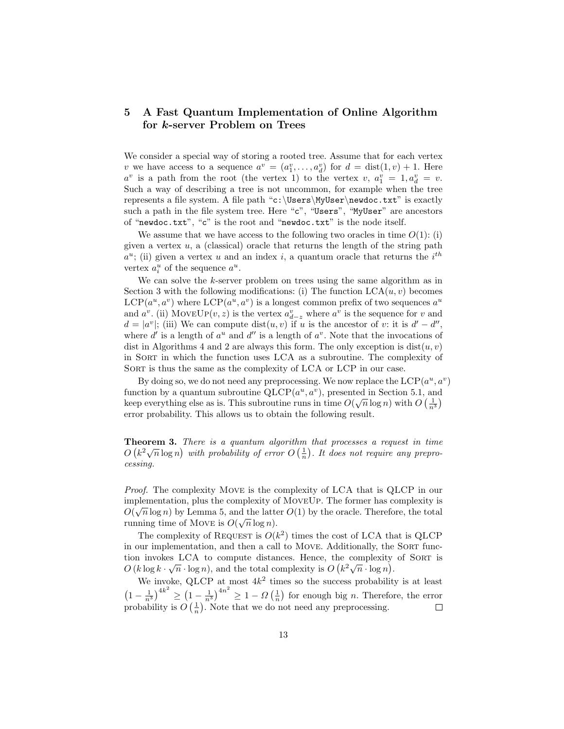# 5 A Fast Quantum Implementation of Online Algorithm for k-server Problem on Trees

We consider a special way of storing a rooted tree. Assume that for each vertex v we have access to a sequence  $a^v = (a_1^v, \ldots, a_d^v)$  for  $d = \text{dist}(1, v) + 1$ . Here  $a^v$  is a path from the root (the vertex 1) to the vertex  $v, a_1^v = 1, a_d^v = v$ . Such a way of describing a tree is not uncommon, for example when the tree represents a file system. A file path "c:\Users\MyUser\newdoc.txt" is exactly such a path in the file system tree. Here "c", "Users", "MyUser" are ancestors of "newdoc.txt", "c" is the root and "newdoc.txt" is the node itself.

We assume that we have access to the following two oracles in time  $O(1)$ : (i) given a vertex  $u$ , a (classical) oracle that returns the length of the string path  $a^u$ ; (ii) given a vertex u and an index i, a quantum oracle that returns the i<sup>th</sup> vertex  $a_i^u$  of the sequence  $a^u$ .

We can solve the k-server problem on trees using the same algorithm as in Section 3 with the following modifications: (i) The function  $LCA(u, v)$  becomes  $LCP(a^u, a^v)$  where  $LCP(a^u, a^v)$  is a longest common prefix of two sequences  $a^u$ and  $a^v$ . (ii) MOVEUP $(v, z)$  is the vertex  $a_{d-z}^v$  where  $a^v$  is the sequence for v and  $d = |a^v|$ ; (iii) We can compute  $dist(u, v)$  if u is the ancestor of v: it is  $d' - d''$ , where  $d'$  is a length of  $a^u$  and  $d''$  is a length of  $a^v$ . Note that the invocations of dist in Algorithms 4 and 2 are always this form. The only exception is  $dist(u, v)$ in Sort in which the function uses LCA as a subroutine. The complexity of SORT is thus the same as the complexity of LCA or LCP in our case.

By doing so, we do not need any preprocessing. We now replace the  $LCP(a^u, a^v)$ function by a quantum subroutine QLCP( $a^u, a^v$ ), presented in Section 5.1, and keep everything else as is. This subroutine runs in time  $O(\sqrt{n}\log n)$  with  $O\left(\frac{1}{n^3}\right)$ error probability. This allows us to obtain the following result.

Theorem 3. There is a quantum algorithm that processes a request in time **Theorem 3.** There is a quantum algorithm that processes a request in time  $O(k^2\sqrt{n}\log n)$  with probability of error  $O(\frac{1}{n})$ . It does not require any preprocessing.

Proof. The complexity Move is the complexity of LCA that is QLCP in our implementation, plus the complexity of MoveUp. The former has complexity is  $O(\sqrt{n}\log n)$  by Lemma 5, and the latter  $O(1)$  by the oracle. Therefore, the total running time of Move is  $O(\sqrt{n}\log n)$ .

The complexity of REQUEST is  $O(k^2)$  times the cost of LCA that is QLCP in our implementation, and then a call to MOVE. Additionally, the SORT function invokes LCA to compute distances. Hence, the complexity of SORT is From the complexity is  $O(k \log k \cdot \sqrt{n} \cdot \log n)$ , and the total complexity is  $O(k^2 \sqrt{n} \cdot \log n)$ .

We invoke, QLCP at most  $4k^2$  times so the success probability is at least  $\left(1-\frac{1}{n^3}\right)^{4k^2} \geq \left(1-\frac{1}{n^3}\right)^{4n^2} \geq 1-\Omega\left(\frac{1}{n}\right)$  for enough big *n*. Therefore, the error probability is  $O\left(\frac{1}{n}\right)$ . Note that we do not need any preprocessing.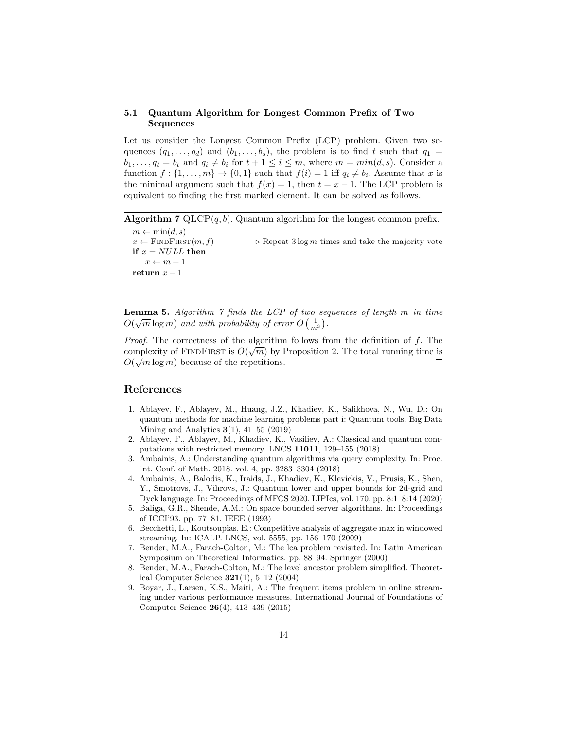# 5.1 Quantum Algorithm for Longest Common Prefix of Two Sequences

Let us consider the Longest Common Prefix (LCP) problem. Given two sequences  $(q_1, \ldots, q_d)$  and  $(b_1, \ldots, b_s)$ , the problem is to find t such that  $q_1 =$  $b_1, \ldots, a_t = b_t$  and  $q_i \neq b_i$  for  $t + 1 \leq i \leq m$ , where  $m = min(d, s)$ . Consider a function  $f: \{1, \ldots, m\} \to \{0, 1\}$  such that  $f(i) = 1$  iff  $q_i \neq b_i$ . Assume that x is the minimal argument such that  $f(x) = 1$ , then  $t = x - 1$ . The LCP problem is equivalent to finding the first marked element. It can be solved as follows.

**Algorithm 7** QLCP $(q, b)$ . Quantum algorithm for the longest common prefix.

| $m \leftarrow \min(d, s)$         |                                                                  |
|-----------------------------------|------------------------------------------------------------------|
| $x \leftarrow$ FINDFIRST $(m, f)$ | $\triangleright$ Repeat 3 log m times and take the majority vote |
| if $x = NULL$ then                |                                                                  |
| $x \leftarrow m+1$                |                                                                  |
| return $x-1$                      |                                                                  |

**Lemma 5.** Algorithm  $\gamma$  finds the LCP of two sequences of length  $m$  in time  $O(\sqrt{m}\log m)$  and with probability of error  $O\left(\frac{1}{m^3}\right)$ .

*Proof.* The correctness of the algorithm follows from the definition of f. The complexity of FINDFIRST is  $O(\sqrt{m})$  by Proposition 2. The total running time is  $O(\sqrt{m}\log m)$  because of the repetitions.  $\Box$ 

# References

- 1. Ablayev, F., Ablayev, M., Huang, J.Z., Khadiev, K., Salikhova, N., Wu, D.: On quantum methods for machine learning problems part i: Quantum tools. Big Data Mining and Analytics  $3(1)$ ,  $41-55$  (2019)
- 2. Ablayev, F., Ablayev, M., Khadiev, K., Vasiliev, A.: Classical and quantum computations with restricted memory. LNCS 11011, 129–155 (2018)
- 3. Ambainis, A.: Understanding quantum algorithms via query complexity. In: Proc. Int. Conf. of Math. 2018. vol. 4, pp. 3283–3304 (2018)
- 4. Ambainis, A., Balodis, K., Iraids, J., Khadiev, K., Klevickis, V., Prusis, K., Shen, Y., Smotrovs, J., Vihrovs, J.: Quantum lower and upper bounds for 2d-grid and Dyck language. In: Proceedings of MFCS 2020. LIPIcs, vol. 170, pp. 8:1–8:14 (2020)
- 5. Baliga, G.R., Shende, A.M.: On space bounded server algorithms. In: Proceedings of ICCI'93. pp. 77–81. IEEE (1993)
- 6. Becchetti, L., Koutsoupias, E.: Competitive analysis of aggregate max in windowed streaming. In: ICALP. LNCS, vol. 5555, pp. 156–170 (2009)
- 7. Bender, M.A., Farach-Colton, M.: The lca problem revisited. In: Latin American Symposium on Theoretical Informatics. pp. 88–94. Springer (2000)
- 8. Bender, M.A., Farach-Colton, M.: The level ancestor problem simplified. Theoretical Computer Science  $321(1)$ , 5-12 (2004)
- 9. Boyar, J., Larsen, K.S., Maiti, A.: The frequent items problem in online streaming under various performance measures. International Journal of Foundations of Computer Science 26(4), 413–439 (2015)